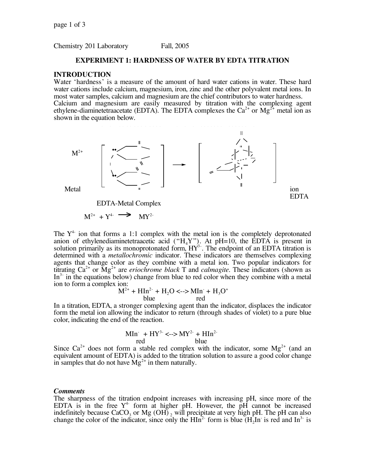Chemistry 201 Laboratory Fall, 2005

## **EXPERIMENT 1: HARDNESS OF WATER BY EDTA TITRATION**

## **INTRODUCTION**

Water 'hardness' is a measure of the amount of hard water cations in water. These hard water cations include calcium, magnesium, iron, zinc and the other polyvalent metal ions. In most water samples, calcium and magnesium are the chief contributors to water hardness. Calcium and magnesium are easily measured by titration with the complexing agent ethylene-diaminetetraacetate (EDTA). The EDTA complexes the  $Ca<sup>2+</sup>$  or  $Mg<sup>2+</sup>$  metal ion as shown in the equation below.



EDTA-Metal Complex

$$
M^{2+} + Y^{4-} \longrightarrow \frac{M Y^{2-}}{2}
$$

The  $Y<sup>4</sup>$  ion that forms a 1:1 complex with the metal ion is the completely deprotonated anion of ethylenediaminetetraacetic acid (" $H_4Y$ "). At pH=10, the EDTA is present in solution primarily as its monoprotonated form,  $HY^3$ . The endpoint of an EDTA titration is determined with a *metallochromic* indicator. These indicators are themselves complexing agents that change color as they combine with a metal ion. Two popular indicators for titrating  $Ca^{2+}$  or  $Mg^{2+}$  are *eriochrome black* T and *calmagite*. These indicators (shown as  $In<sup>3</sup>$  in the equations below) change from blue to red color when they combine with a metal ion to form a complex ion:

$$
M^{2+} + HIn^{2-} + H_2O \le -\gg MIn^{+} + H_3O^{+}
$$
  
blue red

In a titration, EDTA, a stronger complexing agent than the indicator, displaces the indicator form the metal ion allowing the indicator to return (through shades of violet) to a pure blue color, indicating the end of the reaction.

$$
\frac{MIn^{+} + HY^{3-} \leftarrow} MY^{2+} + HIn^{2-}
$$

Since  $Ca^{2+}$  does not form a stable red complex with the indicator, some  $Mg^{2+}$  (and an equivalent amount of EDTA) is added to the titration solution to assure a good color change in samples that do not have  $Mg^{2+}$  in them naturally.

### *Comments*

The sharpness of the titration endpoint increases with increasing pH, since more of the EDTA is in the free  $Y^4$  form at higher pH. However, the pH cannot be increased indefinitely because CaCO<sub>3</sub> or Mg  $(OH)$ , will precipitate at very high pH. The pH can also change the color of the indicator, since only the  $HIn^2$  form is blue  $(H<sub>2</sub>In)$  is red and  $In^3$  is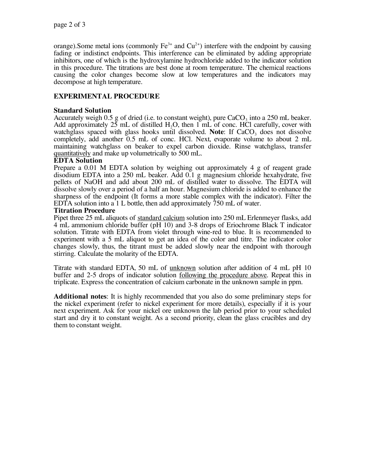orange). Some metal ions (commonly  $Fe^{3+}$  and  $Cu^{2+}$ ) interfere with the endpoint by causing fading or indistinct endpoints. This interference can be eliminated by adding appropriate inhibitors, one of which is the hydroxylamine hydrochloride added to the indicator solution in this procedure. The titrations are best done at room temperature. The chemical reactions causing the color changes become slow at low temperatures and the indicators may decompose at high temperature.

# **EXPERIMENTAL PROCEDURE**

# **Standard Solution**

Accurately weigh 0.5 g of dried (i.e. to constant weight), pure  $CaCO<sub>3</sub>$  into a 250 mL beaker. Add approximately  $25$  mL of distilled H<sub>2</sub>O, then 1 mL of conc. HCl carefully, cover with watchglass spaced with glass hooks until dissolved. **Note**: If CaCO<sub>3</sub> does not dissolve completely, add another 0.5 mL of conc. HCl. Next, evaporate volume to about 2 mL maintaining watchglass on beaker to expel carbon dioxide. Rinse watchglass, transfer quantitatively and make up volumetrically to 500 mL.

## **EDTA Solution**

Prepare a 0.01 M EDTA solution by weighing out approximately 4 g of reagent grade disodium EDTA into a 250 mL beaker. Add 0.1 g magnesium chloride hexahydrate, five pellets of NaOH and add about 200 mL of distilled water to dissolve. The EDTA will dissolve slowly over a period of a half an hour. Magnesium chloride is added to enhance the sharpness of the endpoint (It forms a more stable complex with the indicator). Filter the EDTA solution into a 1 L bottle, then add approximately 750 mL of water. **Titration Procedure**

Pipet three 25 mL aliquots of standard calcium solution into 250 mL Erlenmeyer flasks, add 4 mL ammonium chloride buffer (pH 10) and 3-8 drops of Eriochrome Black T indicator solution. Titrate with EDTA from violet through wine-red to blue. It is recommended to experiment with a 5 mL aliquot to get an idea of the color and titre. The indicator color changes slowly, thus, the titrant must be added slowly near the endpoint with thorough stirring. Calculate the molarity of the EDTA.

Titrate with standard EDTA, 50 mL of unknown solution after addition of 4 mL pH 10 buffer and 2-5 drops of indicator solution following the procedure above. Repeat this in triplicate. Express the concentration of calcium carbonate in the unknown sample in ppm.

**Additional notes**: It is highly recommended that you also do some preliminary steps for the nickel experiment (refer to nickel experiment for more details), especially if it is your next experiment. Ask for your nickel ore unknown the lab period prior to your scheduled start and dry it to constant weight. As a second priority, clean the glass crucibles and dry them to constant weight.